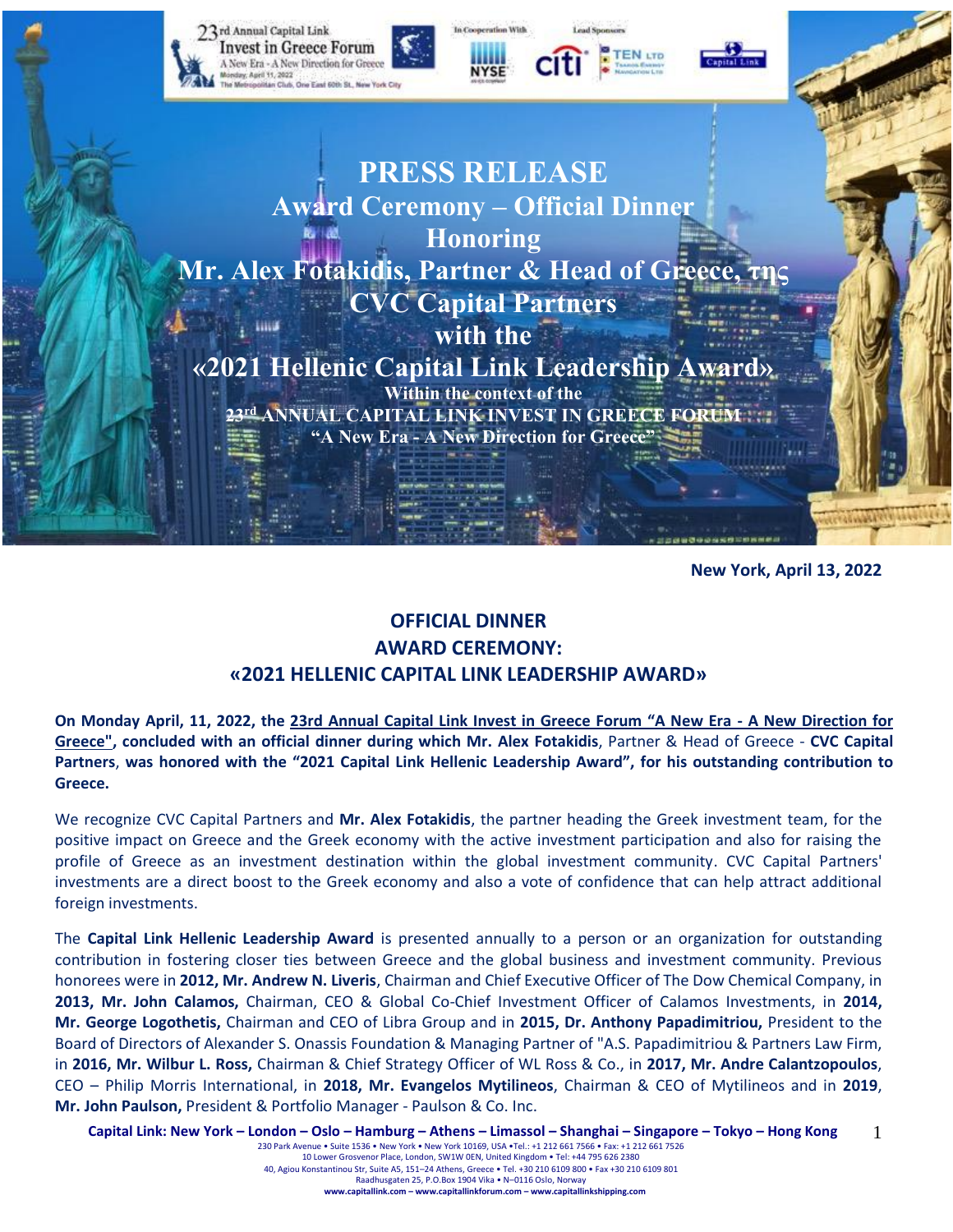

**New York, April 13, 2022**

# **OFFICIAL DINNER AWARD CEREMONY: «2021 HELLENIC CAPITAL LINK LEADERSHIP AWARD»**

**On Monday April, 11, 2022, the [23rd Annual Capital Link Invest in Greece Forum "A New Era](https://forums.capitallink.com/greece/2021/agenda.html) - A New Direction for [Greece",](https://forums.capitallink.com/greece/2021/agenda.html) concluded with an official dinner during which Mr. Alex Fotakidis**, Partner & Head of Greece - **CVC Capital Partners**, **was honored with the "2021 Capital Link Hellenic Leadership Award", for his outstanding contribution to Greece.**

We recognize CVC Capital Partners and **Mr. Alex Fotakidis**, the partner heading the Greek investment team, for the positive impact on Greece and the Greek economy with the active investment participation and also for raising the profile of Greece as an investment destination within the global investment community. CVC Capital Partners' investments are a direct boost to the Greek economy and also a vote of confidence that can help attract additional foreign investments.

The **Capital Link Hellenic Leadership Award** is presented annually to a person or an organization for outstanding contribution in fostering closer ties between Greece and the global business and investment community. Previous honorees were in **2012, Mr. Andrew N. Liveris**, Chairman and Chief Executive Officer of The Dow Chemical Company, in **2013, Mr. John Calamos,** Chairman, CEO & Global Co-Chief Investment Officer of Calamos Investments, in **2014, Mr. George Logothetis,** Chairman and CEO of Libra Group and in **2015, Dr. Anthony Papadimitriou,** President to the Board of Directors of Alexander S. Onassis Foundation & Managing Partner of "A.S. Papadimitriou & Partners Law Firm, in **2016, Mr. Wilbur L. Ross,** Chairman & Chief Strategy Officer of WL Ross & Co., in **2017, Mr. Andre Calantzopoulos**, CEO – Philip Morris International, in **2018, Mr. Evangelos Mytilineos**, Chairman & CEO of Mytilineos and in **2019**, **Mr. John Paulson,** President & Portfolio Manager - Paulson & Co. Inc.

Capital Link: New York – London – Oslo – Hamburg – Athens – Limassol – Shanghai – Singapore – Tokyo – Hong Kong 230 Park Avenue • Suite 1536 • New York • New York 10169, USA •Tel.: +1 212 661 7566 • Fax: +1 212 661 7526 10 Lower Grosvenor Place, London, SW1W 0EN, United Kingdom • Tel: +44 795 626 2380 1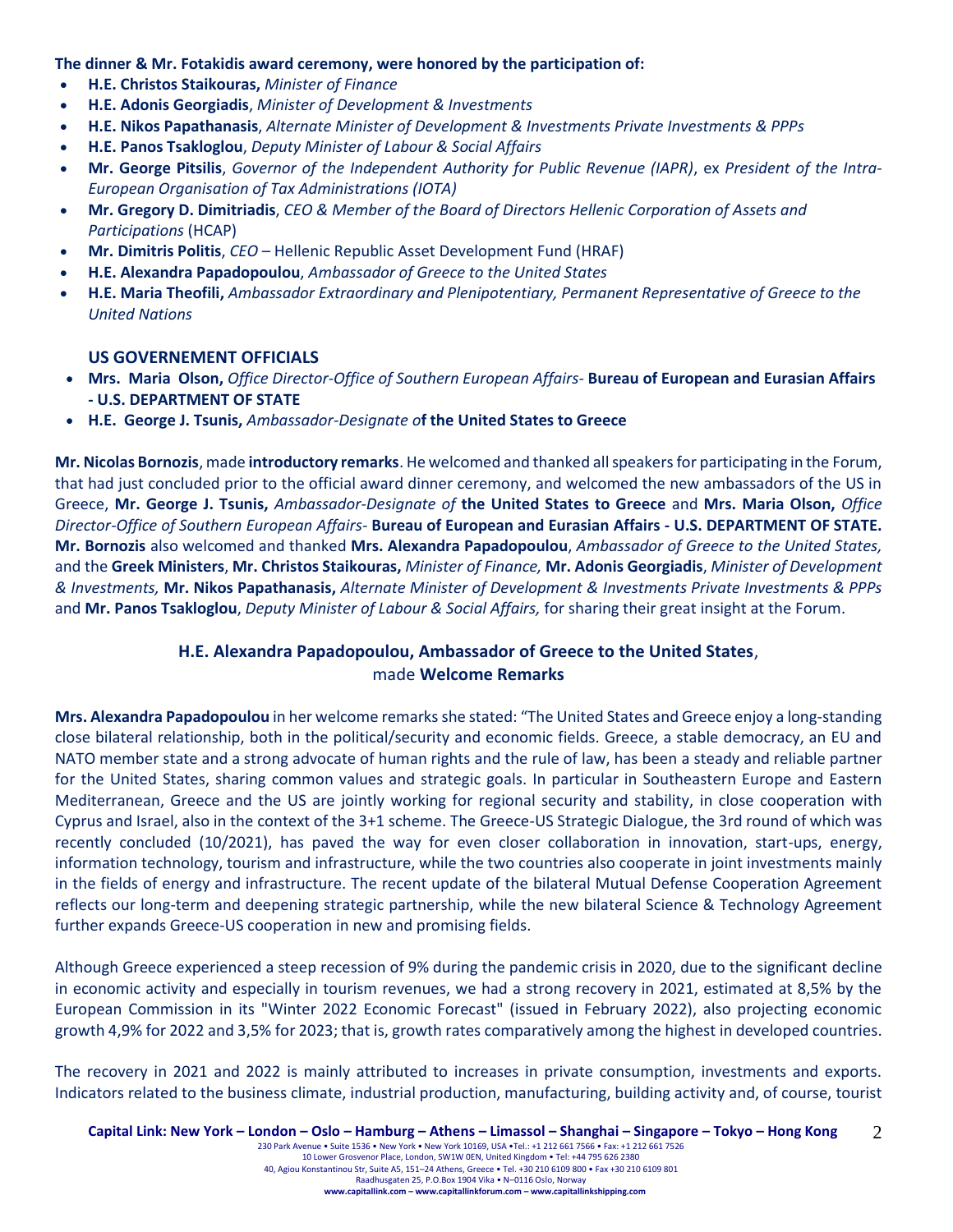**The dinner & Mr. Fotakidis award ceremony, were honored by the participation of:**

- **H.E. Christos Staikouras,** *Minister of Finance*
- **H.E. Adonis Georgiadis**, *Minister of Development & Investments*
- **Η.Ε. Nikos Papathanasis**, *Alternate Minister of Development & Investments Private Investments & PPPs*
- **H.E. Panos Tsakloglou**, *Deputy Minister of Labour & Social Affairs*
- **Mr. George Pitsilis**, *Governor of the Independent Authority for Public Revenue (IAPR)*, ex *President of the Intra-European Organisation of Tax Administrations (IOTA)*
- **Mr. Gregory D. Dimitriadis**, *CEO & Member of the Board of Directors Hellenic Corporation of Assets and Participations* (HCAP)
- **Mr. Dimitris Politis**, *CEO* Hellenic Republic Asset Development Fund (HRAF)
- **H.E. Alexandra Papadopoulou**, *Ambassador of Greece to the United States*
- **H.E. Maria Theofili,** *Ambassador Extraordinary and Plenipotentiary, Permanent Representative of Greece to the United Nations*

#### **US GOVERNEMENT OFFICIALS**

- **Mrs. Maria Olson,** *Office Director-Office of Southern European Affairs-* **Bureau of European and Eurasian Affairs - U.S. DEPARTMENT OF STATE**
- **H.E. George J. Tsunis,** *Ambassador-Designate o***f the United States to Greece**

**Mr. Nicolas Bornozis**, made **introductory remarks**. He welcomed and thanked all speakers for participating in the Forum, that had just concluded prior to the official award dinner ceremony, and welcomed the new ambassadors of the US in Greece, **Mr. George J. Tsunis,** *Ambassador-Designate of* **the United States to Greece** and **Mrs. Maria Olson,** *Office Director-Office of Southern European Affairs-* **Bureau of European and Eurasian Affairs - U.S. DEPARTMENT OF STATE. Mr. Bornozis** also welcomed and thanked **Mrs. Alexandra Papadopoulou**, *Ambassador of Greece to the United States,*  and the **Greek Ministers**, **Mr. Christos Staikouras,** *Minister of Finance,* **Mr. Adonis Georgiadis**, *Minister of Development & Investments,* **Mr. Nikos Papathanasis,** *Alternate Minister of Development & Investments Private Investments & PPPs* and **Mr. Panos Tsakloglou**, *Deputy Minister of Labour & Social Affairs,* for sharing their great insight at the Forum.

## **H.E. Alexandra Papadopoulou, Ambassador of Greece to the United States**, made **Welcome Remarks**

**Mrs. Alexandra Papadopoulou** in her welcome remarks she stated: "The United States and Greece enjoy a long-standing close bilateral relationship, both in the political/security and economic fields. Greece, a stable democracy, an EU and NATO member state and a strong advocate of human rights and the rule of law, has been a steady and reliable partner for the United States, sharing common values and strategic goals. In particular in Southeastern Europe and Eastern Mediterranean, Greece and the US are jointly working for regional security and stability, in close cooperation with Cyprus and Israel, also in the context of the 3+1 scheme. The Greece-US Strategic Dialogue, the 3rd round of which was recently concluded (10/2021), has paved the way for even closer collaboration in innovation, start-ups, energy, information technology, tourism and infrastructure, while the two countries also cooperate in joint investments mainly in the fields of energy and infrastructure. The recent update of the bilateral Mutual Defense Cooperation Agreement reflects our long-term and deepening strategic partnership, while the new bilateral Science & Technology Agreement further expands Greece-US cooperation in new and promising fields.

Although Greece experienced a steep recession of 9% during the pandemic crisis in 2020, due to the significant decline in economic activity and especially in tourism revenues, we had a strong recovery in 2021, estimated at 8,5% by the European Commission in its "Winter 2022 Economic Forecast" (issued in February 2022), also projecting economic growth 4,9% for 2022 and 3,5% for 2023; that is, growth rates comparatively among the highest in developed countries.

The recovery in 2021 and 2022 is mainly attributed to increases in private consumption, investments and exports. Indicators related to the business climate, industrial production, manufacturing, building activity and, of course, tourist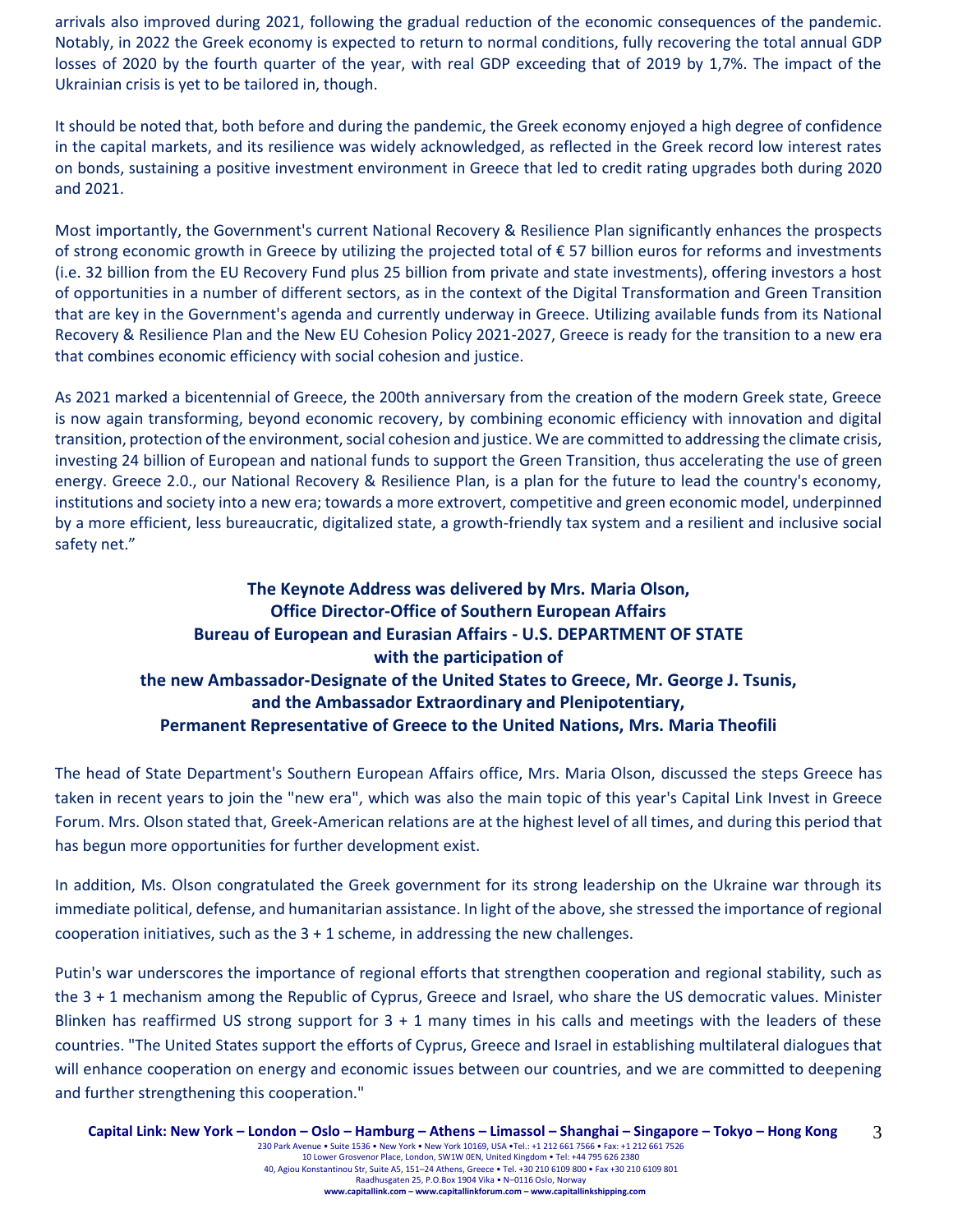arrivals also improved during 2021, following the gradual reduction of the economic consequences of the pandemic. Notably, in 2022 the Greek economy is expected to return to normal conditions, fully recovering the total annual GDP losses of 2020 by the fourth quarter of the year, with real GDP exceeding that of 2019 by 1,7%. The impact of the Ukrainian crisis is yet to be tailored in, though.

It should be noted that, both before and during the pandemic, the Greek economy enjoyed a high degree of confidence in the capital markets, and its resilience was widely acknowledged, as reflected in the Greek record low interest rates on bonds, sustaining a positive investment environment in Greece that led to credit rating upgrades both during 2020 and 2021.

Most importantly, the Government's current National Recovery & Resilience Plan significantly enhances the prospects of strong economic growth in Greece by utilizing the projected total of € 57 billion euros for reforms and investments (i.e. 32 billion from the EU Recovery Fund plus 25 billion from private and state investments), offering investors a host of opportunities in a number of different sectors, as in the context of the Digital Transformation and Green Transition that are key in the Government's agenda and currently underway in Greece. Utilizing available funds from its National Recovery & Resilience Plan and the New EU Cohesion Policy 2021-2027, Greece is ready for the transition to a new era that combines economic efficiency with social cohesion and justice.

As 2021 marked a bicentennial of Greece, the 200th anniversary from the creation of the modern Greek state, Greece is now again transforming, beyond economic recovery, by combining economic efficiency with innovation and digital transition, protection of the environment, social cohesion and justice. We are committed to addressing the climate crisis, investing 24 billion of European and national funds to support the Green Transition, thus accelerating the use of green energy. Greece 2.0., our National Recovery & Resilience Plan, is a plan for the future to lead the country's economy, institutions and society into a new era; towards a more extrovert, competitive and green economic model, underpinned by a more efficient, less bureaucratic, digitalized state, a growth-friendly tax system and a resilient and inclusive social safety net."

# **The Keynote Address was delivered by Mrs. Maria Olson, Office Director-Office of Southern European Affairs Bureau of European and Eurasian Affairs - U.S. DEPARTMENT OF STATE with the participation of the new Ambassador-Designate of the United States to Greece, Mr. George J. Tsunis, and the Ambassador Extraordinary and Plenipotentiary, Permanent Representative of Greece to the United Nations, Mrs. Maria Theofili**

The head of State Department's Southern European Affairs office, Mrs. Maria Olson, discussed the steps Greece has taken in recent years to join the "new era", which was also the main topic of this year's Capital Link Invest in Greece Forum. Mrs. Olson stated that, Greek-American relations are at the highest level of all times, and during this period that has begun more opportunities for further development exist.

In addition, Ms. Olson congratulated the Greek government for its strong leadership on the Ukraine war through its immediate political, defense, and humanitarian assistance. In light of the above, she stressed the importance of regional cooperation initiatives, such as the  $3 + 1$  scheme, in addressing the new challenges.

Putin's war underscores the importance of regional efforts that strengthen cooperation and regional stability, such as the 3 + 1 mechanism among the Republic of Cyprus, Greece and Israel, who share the US democratic values. Minister Blinken has reaffirmed US strong support for  $3 + 1$  many times in his calls and meetings with the leaders of these countries. "The United States support the efforts of Cyprus, Greece and Israel in establishing multilateral dialogues that will enhance cooperation on energy and economic issues between our countries, and we are committed to deepening and further strengthening this cooperation."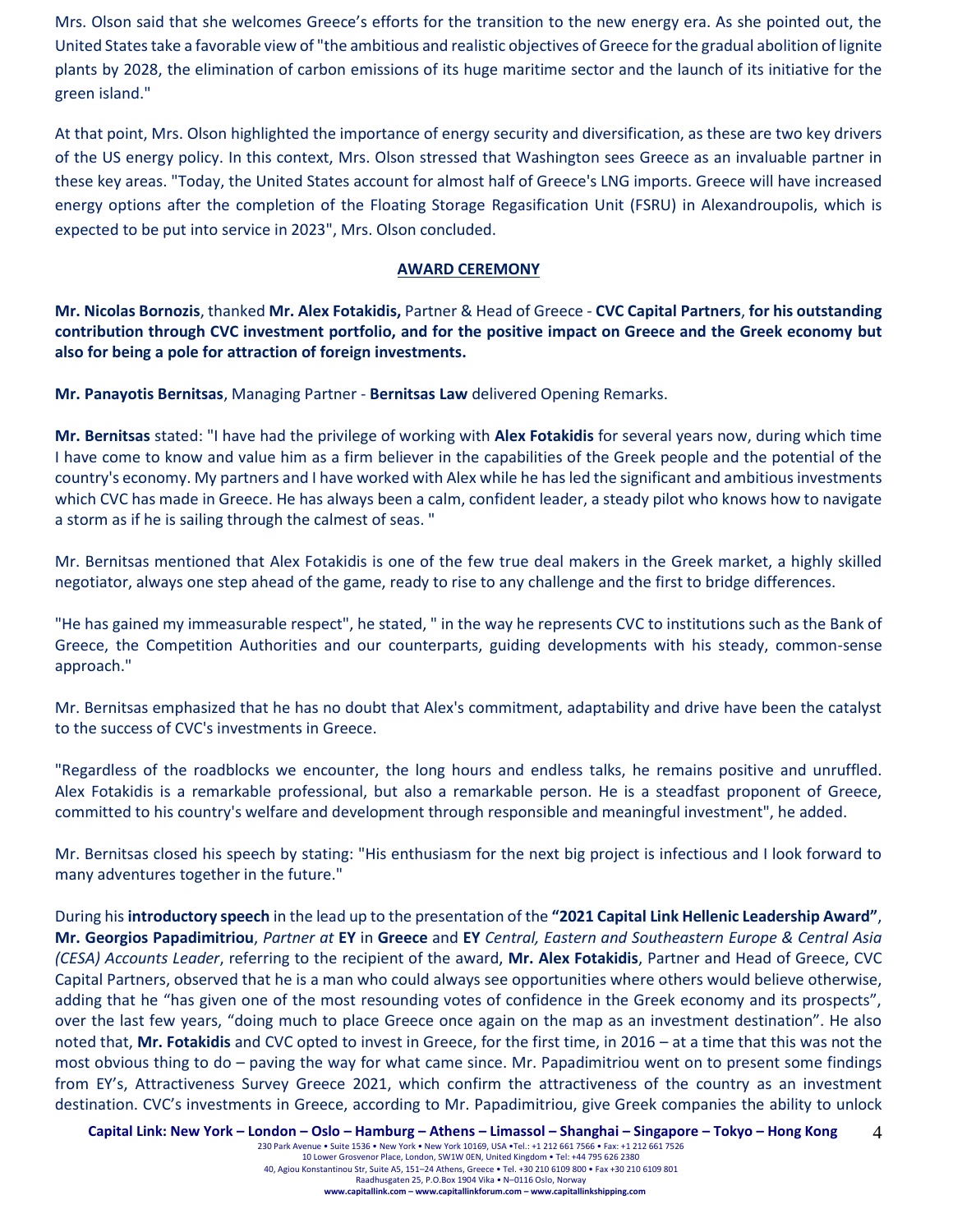Mrs. Olson said that she welcomes Greece's efforts for the transition to the new energy era. As she pointed out, the United States take a favorable view of "the ambitious and realistic objectives of Greece for the gradual abolition of lignite plants by 2028, the elimination of carbon emissions of its huge maritime sector and the launch of its initiative for the green island."

At that point, Mrs. Olson highlighted the importance of energy security and diversification, as these are two key drivers of the US energy policy. In this context, Mrs. Olson stressed that Washington sees Greece as an invaluable partner in these key areas. "Today, the United States account for almost half of Greece's LNG imports. Greece will have increased energy options after the completion of the Floating Storage Regasification Unit (FSRU) in Alexandroupolis, which is expected to be put into service in 2023", Mrs. Olson concluded.

#### **AWARD CEREMONY**

**Mr. Nicolas Bornozis**, thanked **Mr. Alex Fotakidis,** Partner & Head of Greece - **CVC Capital Partners**, **for his outstanding contribution through CVC investment portfolio, and for the positive impact on Greece and the Greek economy but also for being a pole for attraction of foreign investments.**

**Mr. Panayotis Bernitsas**, Managing Partner - **Bernitsas Law** delivered Opening Remarks.

**Mr. Bernitsas** stated: "I have had the privilege of working with **Alex Fotakidis** for several years now, during which time I have come to know and value him as a firm believer in the capabilities of the Greek people and the potential of the country's economy. My partners and I have worked with Alex while he has led the significant and ambitious investments which CVC has made in Greece. He has always been a calm, confident leader, a steady pilot who knows how to navigate a storm as if he is sailing through the calmest of seas. "

Mr. Bernitsas mentioned that Alex Fotakidis is one of the few true deal makers in the Greek market, a highly skilled negotiator, always one step ahead of the game, ready to rise to any challenge and the first to bridge differences.

"He has gained my immeasurable respect", he stated, " in the way he represents CVC to institutions such as the Bank of Greece, the Competition Authorities and our counterparts, guiding developments with his steady, common-sense approach."

Mr. Bernitsas emphasized that he has no doubt that Alex's commitment, adaptability and drive have been the catalyst to the success of CVC's investments in Greece.

"Regardless of the roadblocks we encounter, the long hours and endless talks, he remains positive and unruffled. Alex Fotakidis is a remarkable professional, but also a remarkable person. He is a steadfast proponent of Greece, committed to his country's welfare and development through responsible and meaningful investment", he added.

Mr. Bernitsas closed his speech by stating: "His enthusiasm for the next big project is infectious and I look forward to many adventures together in the future."

During his **introductory speech** in the lead up to the presentation of the **"2021 Capital Link Hellenic Leadership Award"**, **Mr. Georgios Papadimitriou**, *Partner at* **EY** in **Greece** and **EY** *Central, Eastern and Southeastern Europe & Central Asia (CESA) Accounts Leader*, referring to the recipient of the award, **Mr. Alex Fotakidis**, Partner and Head of Greece, CVC Capital Partners, observed that he is a man who could always see opportunities where others would believe otherwise, adding that he "has given one of the most resounding votes of confidence in the Greek economy and its prospects", over the last few years, "doing much to place Greece once again on the map as an investment destination". He also noted that, **Mr. Fotakidis** and CVC opted to invest in Greece, for the first time, in 2016 – at a time that this was not the most obvious thing to do – paving the way for what came since. Mr. Papadimitriou went on to present some findings from EY's, Attractiveness Survey Greece 2021, which confirm the attractiveness of the country as an investment destination. CVC's investments in Greece, according to Mr. Papadimitriou, give Greek companies the ability to unlock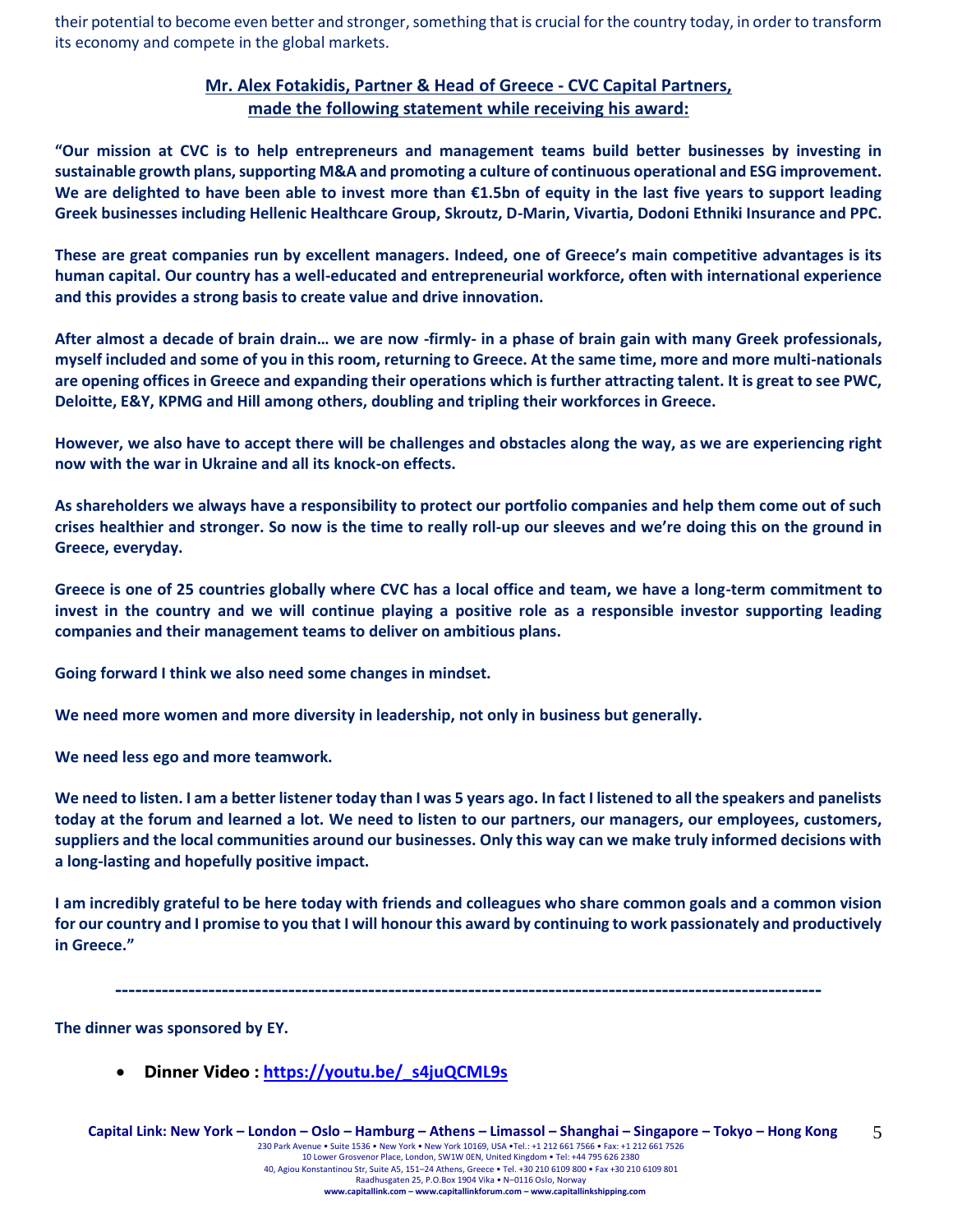their potential to become even better and stronger, something that is crucial for the country today, in order to transform its economy and compete in the global markets.

### **Mr. Alex Fotakidis, Partner & Head of Greece - CVC Capital Partners, made the following statement while receiving his award:**

**"Our mission at CVC is to help entrepreneurs and management teams build better businesses by investing in sustainable growth plans, supporting M&A and promoting a culture of continuous operational and ESG improvement. We are delighted to have been able to invest more than €1.5bn of equity in the last five years to support leading Greek businesses including Hellenic Healthcare Group, Skroutz, D-Marin, Vivartia, Dodoni Ethniki Insurance and PPC.**

**These are great companies run by excellent managers. Indeed, one of Greece's main competitive advantages is its human capital. Our country has a well-educated and entrepreneurial workforce, often with international experience and this provides a strong basis to create value and drive innovation.**

**After almost a decade of brain drain… we are now -firmly- in a phase of brain gain with many Greek professionals, myself included and some of you in this room, returning to Greece. At the same time, more and more multi-nationals are opening offices in Greece and expanding their operations which is further attracting talent. It is great to see PWC, Deloitte, E&Y, KPMG and Hill among others, doubling and tripling their workforces in Greece.** 

**However, we also have to accept there will be challenges and obstacles along the way, as we are experiencing right now with the war in Ukraine and all its knock-on effects.**

**As shareholders we always have a responsibility to protect our portfolio companies and help them come out of such crises healthier and stronger. So now is the time to really roll-up our sleeves and we're doing this on the ground in Greece, everyday.** 

**Greece is one of 25 countries globally where CVC has a local office and team, we have a long-term commitment to invest in the country and we will continue playing a positive role as a responsible investor supporting leading companies and their management teams to deliver on ambitious plans.**

**Going forward I think we also need some changes in mindset.**

**We need more women and more diversity in leadership, not only in business but generally.**

**We need less ego and more teamwork.**

**We need to listen. I am a better listener today than I was 5 years ago. In fact I listened to all the speakers and panelists today at the forum and learned a lot. We need to listen to our partners, our managers, our employees, customers, suppliers and the local communities around our businesses. Only this way can we make truly informed decisions with a long-lasting and hopefully positive impact.**

**I am incredibly grateful to be here today with friends and colleagues who share common goals and a common vision for our country and I promise to you that I will honour this award by continuing to work passionately and productively in Greece."**

**----------------------------------------------------------------------------------------------------------**

**The dinner was sponsored by ΕΥ.**

• **Dinner Video : [https://youtu.be/\\_s4juQCML9s](https://youtu.be/_s4juQCML9s)**